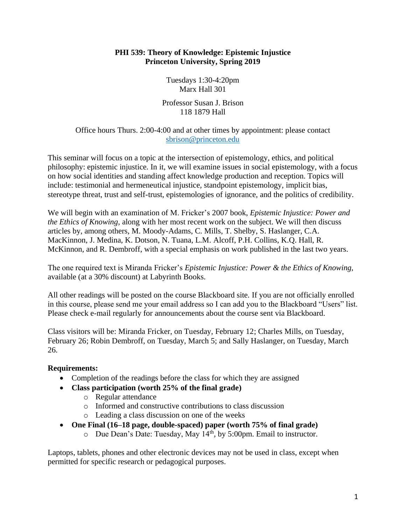#### **PHI 539: Theory of Knowledge: Epistemic Injustice Princeton University, Spring 2019**

Tuesdays 1:30-4:20pm Marx Hall 301

Professor Susan J. Brison 118 1879 Hall

### Office hours Thurs. 2:00-4:00 and at other times by appointment: please contact [sbrison@princeton.edu](mailto:sbrison@princeton.edu)

This seminar will focus on a topic at the intersection of epistemology, ethics, and political philosophy: epistemic injustice. In it, we will examine issues in social epistemology, with a focus on how social identities and standing affect knowledge production and reception. Topics will include: testimonial and hermeneutical injustice, standpoint epistemology, implicit bias, stereotype threat, trust and self-trust, epistemologies of ignorance, and the politics of credibility.

We will begin with an examination of M. Fricker's 2007 book, *Epistemic Injustice: Power and the Ethics of Knowing*, along with her most recent work on the subject. We will then discuss articles by, among others, M. Moody-Adams, C. Mills, T. Shelby, S. Haslanger, C.A. MacKinnon, J. Medina, K. Dotson, N. Tuana, L.M. Alcoff, P.H. Collins, K.Q. Hall, R. McKinnon, and R. Dembroff, with a special emphasis on work published in the last two years.

The one required text is Miranda Fricker's *Epistemic Injustice: Power & the Ethics of Knowing,* available (at a 30% discount) at Labyrinth Books.

All other readings will be posted on the course Blackboard site. If you are not officially enrolled in this course, please send me your email address so I can add you to the Blackboard "Users" list. Please check e-mail regularly for announcements about the course sent via Blackboard.

Class visitors will be: Miranda Fricker, on Tuesday, February 12; Charles Mills, on Tuesday, February 26; Robin Dembroff, on Tuesday, March 5; and Sally Haslanger, on Tuesday, March 26.

# **Requirements:**

- Completion of the readings before the class for which they are assigned
- **Class participation (worth 25% of the final grade)**
	- o Regular attendance
	- o Informed and constructive contributions to class discussion
	- o Leading a class discussion on one of the weeks
- **One Final (16–18 page, double-spaced) paper (worth 75% of final grade)**
	- o Due Dean's Date: Tuesday, May 14th, by 5:00pm. Email to instructor.

Laptops, tablets, phones and other electronic devices may not be used in class, except when permitted for specific research or pedagogical purposes.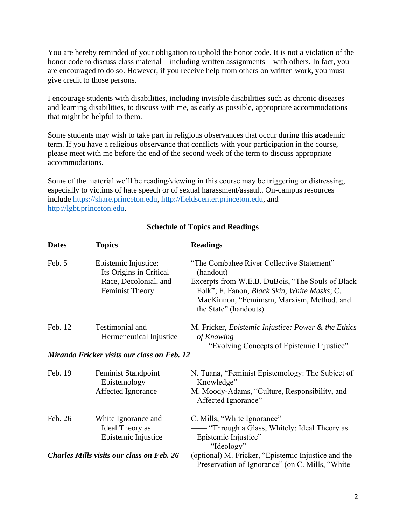You are hereby reminded of your obligation to uphold the honor code. It is not a violation of the honor code to discuss class material—including written assignments—with others. In fact, you are encouraged to do so. However, if you receive help from others on written work, you must give credit to those persons.

I encourage students with disabilities, including invisible disabilities such as chronic diseases and learning disabilities, to discuss with me, as early as possible, appropriate accommodations that might be helpful to them.

Some students may wish to take part in religious observances that occur during this academic term. If you have a religious observance that conflicts with your participation in the course, please meet with me before the end of the second week of the term to discuss appropriate accommodations.

Some of the material we'll be reading/viewing in this course may be triggering or distressing, especially to victims of hate speech or of sexual harassment/assault. On-campus resources include [https://share.princeton.edu,](https://share.princeton.edu/) [http://fieldscenter.princeton.edu,](http://fieldscenter.princeton.edu/) and [http://lgbt.princeton.edu.](http://lgbt.princeton.edu/)

| <b>Dates</b>                                | <b>Topics</b>                                                                                      | <b>Readings</b>                                                                                                                                                                                                                    |
|---------------------------------------------|----------------------------------------------------------------------------------------------------|------------------------------------------------------------------------------------------------------------------------------------------------------------------------------------------------------------------------------------|
| Feb. 5                                      | Epistemic Injustice:<br>Its Origins in Critical<br>Race, Decolonial, and<br><b>Feminist Theory</b> | "The Combahee River Collective Statement"<br>(handout)<br>Excerpts from W.E.B. DuBois, "The Souls of Black"<br>Folk"; F. Fanon, Black Skin, White Masks; C.<br>MacKinnon, "Feminism, Marxism, Method, and<br>the State" (handouts) |
| Feb. 12                                     | Testimonial and<br>Hermeneutical Injustice                                                         | M. Fricker, <i>Epistemic Injustice: Power &amp; the Ethics</i><br>of Knowing<br>- "Evolving Concepts of Epistemic Injustice"                                                                                                       |
| Miranda Fricker visits our class on Feb. 12 |                                                                                                    |                                                                                                                                                                                                                                    |
| Feb. 19                                     | Feminist Standpoint<br>Epistemology<br>Affected Ignorance                                          | N. Tuana, "Feminist Epistemology: The Subject of<br>Knowledge"<br>M. Moody-Adams, "Culture, Responsibility, and<br>Affected Ignorance"                                                                                             |
| Feb. 26                                     | White Ignorance and<br>Ideal Theory as<br>Epistemic Injustice                                      | C. Mills, "White Ignorance"<br>- "Through a Glass, Whitely: Ideal Theory as<br>Epistemic Injustice"<br>- "Ideology"                                                                                                                |
|                                             | <b>Charles Mills visits our class on Feb. 26</b>                                                   | (optional) M. Fricker, "Epistemic Injustice and the<br>Preservation of Ignorance" (on C. Mills, "White                                                                                                                             |

# **Schedule of Topics and Readings**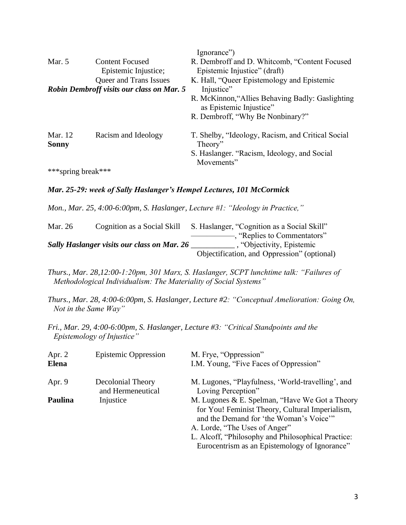|                                                  |                        | Ignorance")                                                                 |
|--------------------------------------------------|------------------------|-----------------------------------------------------------------------------|
| Mar. $5$                                         | <b>Content Focused</b> | R. Dembroff and D. Whitcomb, "Content Focused                               |
|                                                  | Epistemic Injustice;   | Epistemic Injustice" (draft)                                                |
|                                                  | Queer and Trans Issues | K. Hall, "Queer Epistemology and Epistemic                                  |
| <b>Robin Dembroff visits our class on Mar. 5</b> |                        | Injustice"                                                                  |
|                                                  |                        | R. McKinnon, "Allies Behaving Badly: Gaslighting<br>as Epistemic Injustice" |
|                                                  |                        | R. Dembroff, "Why Be Nonbinary?"                                            |
| Mar. 12<br><b>Sonny</b>                          | Racism and Ideology    | T. Shelby, "Ideology, Racism, and Critical Social<br>Theory"                |
|                                                  |                        | S. Haslanger. "Racism, Ideology, and Social<br>Movements"                   |
| ***spring break***                               |                        |                                                                             |

#### *Mar. 25-29: week of Sally Haslanger's Hempel Lectures, 101 McCormick*

*Mon., Mar. 25, 4:00-6:00pm, S. Haslanger, Lecture #1: "Ideology in Practice,"* 

| Mar. 26                                            | Cognition as a Social Skill | S. Haslanger, "Cognition as a Social Skill" |
|----------------------------------------------------|-----------------------------|---------------------------------------------|
|                                                    |                             | - Replies to Commentators"                  |
| <b>Sally Haslanger visits our class on Mar. 26</b> |                             | , "Objectivity, Epistemic                   |
|                                                    |                             | Objectification, and Oppression" (optional) |

*Thurs., Mar. 28,12:00-1:20pm, 301 Marx, S. Haslanger, SCPT lunchtime talk: "Failures of Methodological Individualism: The Materiality of Social Systems"*

*Thurs., Mar. 28, 4:00-6:00pm, S. Haslanger, Lecture #2: "Conceptual Amelioration: Going On, Not in the Same Way"*

*Fri., Mar. 29, 4:00-6:00pm, S. Haslanger, Lecture #3: "Critical Standpoints and the Epistemology of Injustice"*

| Apr. $2$<br><b>Elena</b> | <b>Epistemic Oppression</b>            | M. Frye, "Oppression"<br>I.M. Young, "Five Faces of Oppression"                                                                                                                                                                                                                      |
|--------------------------|----------------------------------------|--------------------------------------------------------------------------------------------------------------------------------------------------------------------------------------------------------------------------------------------------------------------------------------|
| Apr. $9$                 | Decolonial Theory<br>and Hermeneutical | M. Lugones, "Playfulness, 'World-travelling', and<br>Loving Perception"                                                                                                                                                                                                              |
| Paulina                  | Injustice                              | M. Lugones & E. Spelman, "Have We Got a Theory<br>for You! Feminist Theory, Cultural Imperialism,<br>and the Demand for 'the Woman's Voice'"<br>A. Lorde, "The Uses of Anger"<br>L. Alcoff, "Philosophy and Philosophical Practice:<br>Eurocentrism as an Epistemology of Ignorance" |